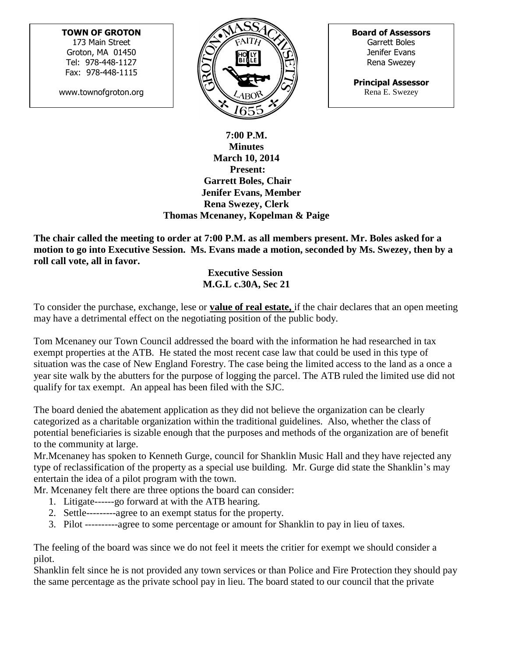## **TOWN OF GROTON**

173 Main Street Groton, MA 01450 Tel: 978-448-1127 Fax: 978-448-1115

www.townofgroton.org



**Board of Assessors** Garrett Boles Jenifer Evans Rena Swezey

**Principal Assessor** Rena E. Swezey

## **7:00 P.M. Minutes March 10, 2014 Present: Garrett Boles, Chair Jenifer Evans, Member Rena Swezey, Clerk Thomas Mcenaney, Kopelman & Paige**

**The chair called the meeting to order at 7:00 P.M. as all members present. Mr. Boles asked for a motion to go into Executive Session. Ms. Evans made a motion, seconded by Ms. Swezey, then by a roll call vote, all in favor.** 

 **Executive Session M.G.L c.30A, Sec 21**

To consider the purchase, exchange, lese or **value of real estate,** if the chair declares that an open meeting may have a detrimental effect on the negotiating position of the public body.

Tom Mcenaney our Town Council addressed the board with the information he had researched in tax exempt properties at the ATB. He stated the most recent case law that could be used in this type of situation was the case of New England Forestry. The case being the limited access to the land as a once a year site walk by the abutters for the purpose of logging the parcel. The ATB ruled the limited use did not qualify for tax exempt. An appeal has been filed with the SJC.

The board denied the abatement application as they did not believe the organization can be clearly categorized as a charitable organization within the traditional guidelines. Also, whether the class of potential beneficiaries is sizable enough that the purposes and methods of the organization are of benefit to the community at large.

Mr.Mcenaney has spoken to Kenneth Gurge, council for Shanklin Music Hall and they have rejected any type of reclassification of the property as a special use building. Mr. Gurge did state the Shanklin's may entertain the idea of a pilot program with the town.

Mr. Mcenaney felt there are three options the board can consider:

- 1. Litigate------go forward at with the ATB hearing.
- 2. Settle---------agree to an exempt status for the property.
- 3. Pilot ----------agree to some percentage or amount for Shanklin to pay in lieu of taxes.

The feeling of the board was since we do not feel it meets the critier for exempt we should consider a pilot.

Shanklin felt since he is not provided any town services or than Police and Fire Protection they should pay the same percentage as the private school pay in lieu. The board stated to our council that the private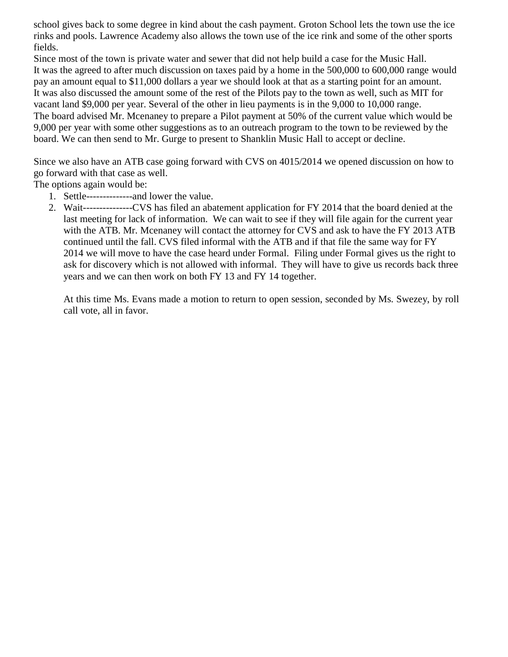school gives back to some degree in kind about the cash payment. Groton School lets the town use the ice rinks and pools. Lawrence Academy also allows the town use of the ice rink and some of the other sports fields.

Since most of the town is private water and sewer that did not help build a case for the Music Hall. It was the agreed to after much discussion on taxes paid by a home in the 500,000 to 600,000 range would pay an amount equal to \$11,000 dollars a year we should look at that as a starting point for an amount. It was also discussed the amount some of the rest of the Pilots pay to the town as well, such as MIT for vacant land \$9,000 per year. Several of the other in lieu payments is in the 9,000 to 10,000 range. The board advised Mr. Mcenaney to prepare a Pilot payment at 50% of the current value which would be 9,000 per year with some other suggestions as to an outreach program to the town to be reviewed by the board. We can then send to Mr. Gurge to present to Shanklin Music Hall to accept or decline.

Since we also have an ATB case going forward with CVS on 4015/2014 we opened discussion on how to go forward with that case as well.

The options again would be:

- 1. Settle--------------and lower the value.
- 2. Wait---------------CVS has filed an abatement application for FY 2014 that the board denied at the last meeting for lack of information. We can wait to see if they will file again for the current year with the ATB. Mr. Mcenaney will contact the attorney for CVS and ask to have the FY 2013 ATB continued until the fall. CVS filed informal with the ATB and if that file the same way for FY 2014 we will move to have the case heard under Formal. Filing under Formal gives us the right to ask for discovery which is not allowed with informal. They will have to give us records back three years and we can then work on both FY 13 and FY 14 together.

At this time Ms. Evans made a motion to return to open session, seconded by Ms. Swezey, by roll call vote, all in favor.